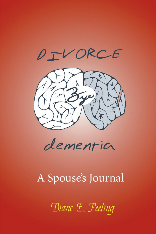



dementia

# A Spouse's Journal

Diane E. Peeling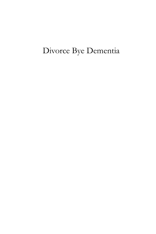## Divorce Bye Dementia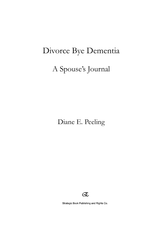## Divorce Bye Dementia

### A Spouse's Journal

Diane E. Peeling



Strategic Book Publishing and Rights Co.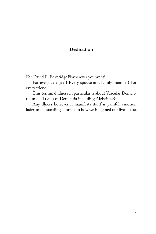#### **Dedication**

For David R. Beveridge  $\boxtimes$  wherever you went!

For every caregiver! Every spouse and family member! For every friend!

This terminal illness in particular is about Vascular Dementia, and all types of Dementia including Alzheimer<sup>8</sup>.

Any illness however it manifests itself is painful, emotion laden and a startling contrast to how we imagined our lives to be.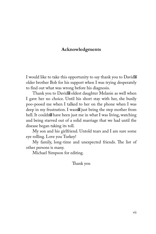#### **Acknowledgments**

I would like to take this opportunity to say thank you to David<sup>8</sup> older brother Bob for his support when I was trying desperately to find out what was wrong before his diagnosis.

Thank you to David<sup>8</sup> oldest daughter Melanie as well when I gave her no choice. Until his short stay with her, she busily poo-pooed me when I talked to her on the phone when I was deep in my frustration. I wasn<sup>ose</sup> just being the step mother from hell. It couldn $\mathbb X$  have been just me in what I was living, watching and being starved out of a solid marriage that we had until the disease began taking its toll.

My son and his girlfriend. Untold tears and I am sure some eye rolling. Love you Turkey!

My family, long-time and unexpected friends.  $\boxtimes$  e list of other persons is many.

Michael Simpson for editing.

⊠ ank you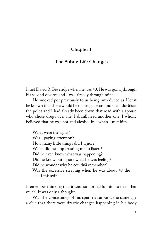#### **The Subtle Life Changes**

I met David R. Beveridge when he was  $\mathbb{Z}$ . He was going through his second divorce and I was already through mine.

He smoked pot previously to us being introduced as I let it be known that there would be no drug use around me. I don See the point and I had already been down that road with a spouse who chose drugs over me. I didn $\mathbb Z$  need another one. I wholly believed that he was pot and alcohol free when I met him.

What were the signs? Was I paying attention? How many little things did I ignore? When did he stop trusting me to listen? Did he even know what was happening? Did he know but ignore what he was feeling? Did he wonder why he couldn $\mathbb X$  remember? Was the excessive sleeping when he was about  $18$  the clue I missed?

I remember thinking that it was not normal for him to sleep that much. It was only a thought.

Was the consistency of his sperm at around the same age a clue that there were drastic changes happening in his body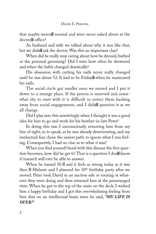that maybe weren<sup>t</sup> normal and were never asked about at the doctor<sup>[8]</sup> office?

As husband and wife we talked about why it was like that, but we didn<sup>%</sup> ask the doctor. Was this an important clue?

When did he really stop caring about how he dressed, bathed or the personal grooming? Did I miss how often he showered and when the habit changed drastically?

His obsession with cutting his nails never really changed until he was about  $\mathbb{Z}$ . It had to be Friday $\mathbb Z$  when he manicured his nails.

The social circle got smaller once we moved and I put it down to a strange place. If the person is reserved and somewhat shy to start with it is difficult to notice them backing away from social engagements, and I didn $\mathbb X$  question it as we all change.

Did I play into this unwittingly when I thought it was a good idea for him to go and work for his brother-in-law Peter?

In doing this was I unconsciously removing him from my line of sight, so to speak, as he was already deteriorating, and my instinctual fear chose the easiest path: to ignore what I was feeling. Consequently, I had no clue as to what *it* was?

When you find yourself faced with this disease the first question becomes, how did he get it? That is a question I don $\mathbb B$  know if research will ever be able to answer.

When he turned  $\boxtimes \boxtimes$  and it feels as strong today as it was then  $\boxtimes$  Melanie and I planned his  $\boxtimes$ <sup>th</sup> birthday party after we moved. Peter took David to an auction sale or touring or whatever they were doing and then returned him at the prearranged time. When he got to the top of the stairs on the deck, I wished him a happy birthday and I got this overwhelming feeling from him that on an intellectual brain wave he said, *"MY LIFE IS OVER!"*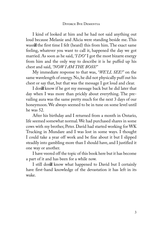I kind of looked at him and he had not said anything out loud because Melanie and Alicia were standing beside me. This wasn $\mathbb B$  the first time I felt (heard) this from him. The exact same feeling, whatever you want to call it, happened the day we got married. As soon as he said, *"I DO"* I got the most bizarre energy from him and the only way to describe it is he puffed up his chest and said, *"NOW I AM THE BOSS!"*

My immediate response to that was, *"WE'LL SEE!"* on the same wavelength of energy. No, he did not physically puff out his chest or say that, but that was the message I got loud and clear.

I don<sup>%</sup> know if he got my message back but he did later that day when I was more than prickly about everything. The prevailing aura was the same pretty much for the next  $\boxtimes$  days of our honeymoon. We always seemed to be in tune on some level until he was  $\mathbb{R}$ .

After his birthday and I returned from a month in Ontario, life seemed somewhat normal. We had purchased shares in some cows with my brother, Peter. David had started working for WK Trucking in Mundare and I was lost in some ways. I thought I could take a year off work and be fine about it but I slipped steadily into gambling more than I should have, and I justified it one way or another.

I have veered off the topic of this book here but it has become a part of it and has been for a while now.

I still don<sup>%</sup> know what happened to David but I certainly have first-hand knowledge of the devastation it has left in its wake.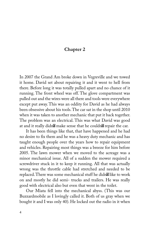In XXXX the Grand Am broke down in Vegreville and we towed it home. David set about repairing it and it went to hell from there. Before long it was totally pulled apart and no chance of it running. The front wheel was off. The glove compartment was pulled out and the wires were all there and tools were everywhere except put away. This was an oddity for David as he had always been obsessive about his tools. The car sat in the shop until XXXX when it was taken to another mechanic that put it back together. The problem was an electrical. This was what David was good at and it really didn't make sense that he couldn't repair the car.

It has been things like that, that have happened and he had no desire to fix them and he was a heavy duty mechanic and has taught enough people over the years how to repair equipment and vehicles. Repairing most things was a breeze for him before XXXX. The lawn mower when we moved to the acreage was a minor mechanical issue. All of a sudden the mower required a screwdriver stuck in it to keep it running. All that was actually wrong was the throttle cable had stretched and needed to be replaced. There was some mechanical stuff he didn't like to work on and mostly he did semi- trucks and trailers. He was really good with electrical also but even that went in the toilet.

Our Miata fell into the mechanical abyss. (This was our Buzzardmobile as I lovingly called it. Both of us gray when we bought it and I was only 40). He locked out the radio in it when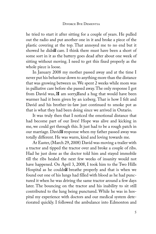he tried to start it after sitting for a couple of years. He pulled out the radio and put another one in it and broke a piece of the plastic covering at the top. That annoyed me to no end but it showed he didn<sup>o</sup> care. I think there must have been a short of some sort in it as the battery goes dead after about one week of sitting without moving. I need to get this fixed properly as the whole piece is loose.

In January XXXX my mother passed away and at the time I never put his behaviour down to anything more than the distance that was growing between us. We spent  $\boxtimes$  weeks while mom was in palliative care before she passed away. The only response I got from David was,  $\mathbb Z$  am sorry,  $\mathbb Z$  and a hug that would have been warmer had it been given by an iceberg. That is how I felt and David and his brother-in-law just continued to smoke pot as that is what they had been doing since we arrived in Ontario.

It was truly then that I noticed the emotional distance that had become part of our lives! Hope was alive and kicking in me, we could get through this. It just had to be a rough patch in our marriage. David<sup>8</sup> response when my father passed away was totally different. He was warm, kind and loving towards me.

At Easter, (March  $\mathbb{X}, \mathbb{X}\mathbb{X}\mathbb{X}$ ) David was moving a trailer with a tractor and tipped the tractor over and broke a couple of ribs. Had he just done as the doctor told him and stayed immobile till the ribs healed the next few weeks of insanity would not have happened. On April  $\mathbb{Z}$ ,  $\mathbb{Z}$   $\mathbb{Z}$ , I took him to the Two Hills Hospital as he couldn<sup>ot</sup> breathe properly and that is when we found out one of his lungs had filled with blood as he had punctured it when he was driving the same tractor around a few days later. The bouncing on the tractor and his inability to sit still contributed to the lung being punctured. While he was in hospital my experience with doctors and our medical system deteriorated quickly. I followed the ambulance into Edmonton and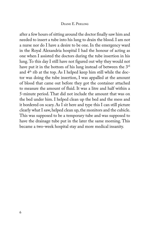#### DIXININ E. PKKKXXXIN

after a few hours of sitting around the doctor finally saw him and needed to insert a tube into his lung to drain the blood. I am not a nurse nor do I have a desire to be one. In the emergency ward in the Royal Alexandria hospital I had the honour of acting as one when I assisted the doctors during the tube insertion in his lung. To this day I still have not figured out why they would not have put it in the bottom of his lung instead of between the  $\mathbb{Z}^{\text{rd}}$ and  $\mathbb{Z}^{\text{th}}$  rib at the top. As I helped keep him still while the doctor was doing the tube insertion, I was appalled at the amount of blood that came out before they got the container attached to measure the amount of fluid. It was a litre and half within a 5-minute period. That did not include the amount that was on the bed under him. I helped clean up the bed and the mess and it bordered on scary. As I sit here and type this I can still picture clearly what I saw, helped clean up, the monitors and the cubicle. This was supposed to be a temporary tube and was supposed to have the drainage tube put in the later the same morning. This became a two-week hospital stay and more medical insanity.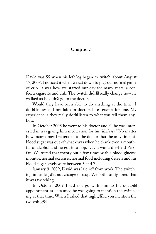David was  $\overline{\mathbb{Z}}$  when his left leg began to twitch, about August 17, 2008. I noticed it when we sat down to play our normal game of crib. It was how we started our day for many years, a coffee, a cigarette and crib. The twitch didn& really change how he walked so he didn<sup>ot</sup> go to the doctor.

Would they have been able to do anything at the time? I don<sup>I</sup>M know and my faith in doctors bites except for one. My experience is they really don<sup>t</sup> listen to what you tell them anyhow.

In October  $\mathbb{X}\mathbb{X}\mathbb{X}$  he went to his doctor and all he was interested in was giving him medication for his *"diabetes."* No matter how many times I reiterated to the doctor that the only time his blood sugar was out of whack was when he drank even a mouthful of alcohol and he got into pop. David was a die-hard Pepsi fan. We tested that theory out a few times with a blood glucose monitor, normal exercises, normal food including deserts and his blood sugar levels were between  $\boxtimes$  and  $\boxtimes$ .

January  $\boxtimes$ ,  $\boxtimes \boxtimes \boxtimes$ , David was laid off from work. The twitching in his leg did not change or stop. We both just ignored that it was twitching.

In October  $\boxtimes \boxtimes 1$  did not go with him to his doctor appointment as I assumed he was going to mention the twitching at that time. When I asked that night, Alid you mention the twitching?<sup>[20]</sup>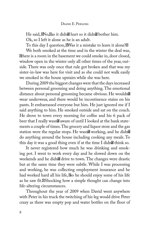He said, No, Nas it didn't hurt so it didn't bother him.

Ok, so I left it alone as he is an adult.

To this day I question,  $\mathbb{M}$ as it a mistake to leave it alone? $\mathbb{Z}$ 

We both smoked at the time and in the winter the deal was, There is a room in the basement we could smoke in, door closed, window open in the winter only all other times of the year, outside. There was only once that rule got broken and that was my sister-in-law was here for visit and as she could not walk easily we smoked in the house upstairs while she was here.

During **XXX** the biggest changes were that the days increased between personal grooming and doing anything. The emotional distance about personal grooming became obvious. He wouldn wear underwear, and there would be incontinence stains on his pants. It embarrassed everyone but him. He just ignored me if I said anything to him. He smoked outside and sat on the couch. He drove to town every morning for coffee and his  $\boxtimes$  pack of beer that I really wasn<sup>2</sup> aware of until I looked at the bank statements a couple of times. The grocery and liquor store and the gas station were the regular stops. He wasn't working, and he didn't do anything around the house including cooking any meals. To this day it was a good thing even if at the time I didn $\mathbb B$  think so.

It never registered how much he was drinking and smoking pot. I went to work every day and he slowed down on the weekends and he didn<sup>'8</sup> drive to town. The changes were drastic but at the same time they were subtle. While I was processing and working, he was collecting employment insurance and he had worked hard all his life,  $\&$  be should enjoy some of his life as he saw fit.<sup>8</sup>Shocking how a simple thought can change into life-altering circumstances.

Throughout the year of XXXX when David went anywhere with Peter in his truck the twitching of his leg would drive Peter crazy as there was empty pop and water bottles on the floor of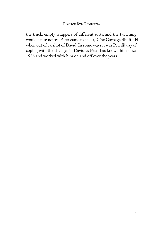#### DIWORD BEAR DEM ENERGY

the truck, empty wrappers of different sorts, and the twitching would cause noises. Peter came to call it, AThe Garbage Shuffle,  $\boxtimes$ when out of earshot of David. In some ways it was Peter<sup>8</sup> way of coping with the changes in David as Peter has known him since 1986 and worked with him on and off over the years.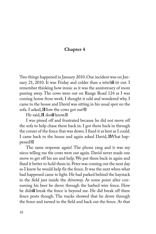Two things happened in January XXXX. One incident was on January  $\mathbb{X}\times\mathbb{X}\times\mathbb{X}$ . It was Friday and colder than a witch  $\mathbb X$  tit out. I remember thinking how ironic as it was the anniversary of mom passing away. The cows were out on Range Road  $\boxtimes \boxtimes$  as I was coming home from work. I thought it odd and wondered why. I came to the house and David was sitting in his usual spot on the sofa. I asked,  $\mathbb{X}$  How the cows got out? $\mathbb{X}$ 

He said,  $\boxtimes$  don $\boxtimes$  know. $\boxtimes$ 

I was pissed off and frustrated because he did not move off the sofa to help chase them back in. I got them back in through the corner of the fence that was down. I fixed it as best as I could. I came back to the house and again asked David, **EW** hat happened?<sup>[20]</sup>

The same response again! The phone rang and it was my niece telling me the cows were out again. David never made one move to get off his ass and help. We put them back in again and fixed it better to hold them in. Peter was coming out the next day so I knew he would help fix the fence. It was the next when what had happened came to light. He had parked behind the haystack in the field just inside the driveway. At some point after consuming his beer he drove through the barbed wire fence. How he didn't break the fence is beyond me. He did break off three fence posts though. The tracks showed that he drove through the fence and turned in the field and back out the fence. At that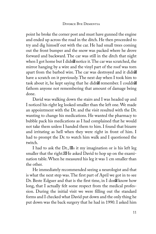#### DIXOXXIXIXI BIXIX DIXIXI XIXIXIXIX

point he broke the corner post and must have gunned the engine and ended up across the road in the ditch. He then proceeded to try and dig himself out with the car. He had small trees coming out the front bumper and the snow was packed where he drove forward and backward. The car was still in the ditch that night when I got home but I didn $\mathbb X$  notice it. The car was scratched, the mirror hanging by a wire and the vinyl part of the roof was torn apart from the barbed wire. The car was destroyed and it didn have a scratch on it previously. The next day when I took him to task about it, he kept saying that he didn $\mathbb X$  remember. I couldn $\mathbb X$ fathom anyone not remembering that amount of damage being done.

David was walking down the stairs and I was headed up and I noticed his right leg looked smaller than the left one. We made an appointment with the Dr. and the visit resulted with the Dr. wanting to change his medications. He wanted the pharmacy to bubble pack his medications as I had complained that he would not take them unless I handed them to him. I found that bizarre and irritating as hell when they were right in front of him. I had to prompt the Dr. to watch him walk and I questioned the twitch.

I had to ask the  $Dr$ ,  $\mathbb{N}s$  it my imagination or is his left leg smaller that the right.<sup>IM</sup>He asked David to hop up on the examination table. When he measured his leg it was  $\boxtimes$  cm smaller than the other.

He immediately recommended seeing a neurologist and that is what the next step was. The first part of April we got in to see Dr. Beste Edguer and that is the first time, in I don<sup>%</sup> know how long, that I actually felt some respect from the medical profession. During the initial visit we were filling out the standard forms and I checked what David put down and the only thing he put down was the back surgery that he had in XXXX. I asked him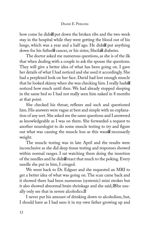how come he didn $\boxtimes$  put down the broken ribs and the two week stay in the hospital while they were getting the blood out of his lungs, which was a year and a half ago. He didn& put anything down for his father<sup>8</sup> cancer, or his sister, Sheila<sup>8</sup> diabetes.

The doctor asked me numerous questions, as she is of the ilk that when dealing with a couple to ask the spouse the questions. They will give a better idea of what has been going on. I gave her details of what I had noticed and she used it accordingly. She had a perplexed look on her face. David had lost enough muscle that he looked skinny when she was checking him. I really hadn noticed how much until then. We had already stopped sleeping in the same bed so I had not really seen him naked in  $\boxtimes$  months at that point.

She checked his throat, reflexes and such and questioned him. His answers were vague at best and simple with no explanation of any sort. She asked me the same questions and I answered as knowledgeable as I was on them. She forwarded a request to another neurologist to do some muscle testing to try and figure out what was causing the muscle loss as this wasn<sup>IM</sup> necessarily weight.

The muscle testing was in late April and the results were inconclusive as she did deep tissue testing and responses showed within normal ranges. I sat watching them doing the insertion of the needles and he didn<sup>os</sup> react that much to the poking. Every needle she put in him, I cringed.

We went back to Dr. Edguer and she requested an MRI to get a better idea of what was going on. The scan came back and it showed there had been numerous (systemic) mini strokes but it also showed abnormal brain shrinkage and she said, *She* usually only see that in severe alcoholics. $\boxtimes$ 

I never put his amount of drinking down to alcoholism, but, I should have as I had seen it in my own father growing up and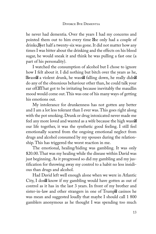he never had dementia. Over the years I had my concerns and pointed them out to him every time  $\Phi$ he only had a couple of drinks, S yet half a twenty-six was gone. It did not matter how any times I was bitter about the drinking and the effects on his blood sugar, he would sneak it and think he was pulling a fast one (a part of his personality).

I watched the consumption of alcohol but I chose to ignore how I felt about it. I did nothing but bitch over the years as he, Swasn<sup>o</sup> a violent drunk, he wasn<sup>o</sup> falling down, he really didn<sup>o</sup> do any of the obnoxious behaviour other than, he could talk your ear off.XThat got to be irritating because inevitably the maudlin mood would come out. This was one of his many ways of getting his emotions out.

My intolerance for drunkenness has not gotten any better and I am a lot less tolerant than I ever was. This goes right along with the pot smoking. Drunk or drug intoxicated never made me feel any more loved and wanted as a wife because the high wasn our life together, it was the synthetic good feeling. I still feel emotionally scarred from the ongoing emotional neglect from drugs and alcohol consumed by my spouses during the relationship. This has triggered the worst reaction in me.

The emotional, healing/hiding was gambling. It was only \$20.00. That was my healing while the disease within David was just beginning. As it progressed so did my gambling and my justification for throwing away my control to a habit no less insidious than drugs and alcohol.

Had David left well enough alone when we were in Atlantic City, I don<sup>'s</sup> know if my gambling would have gotten as out of control as it has in the last  $\mathbb N$  years. In front of my brother and sister-in-law and other strangers in one of Trump<sup>8</sup> casinos he was mean and suggested loudly that maybe I should call  $\boxtimes$   $\boxtimes$ gamblers anonymous as he thought I was spending too much